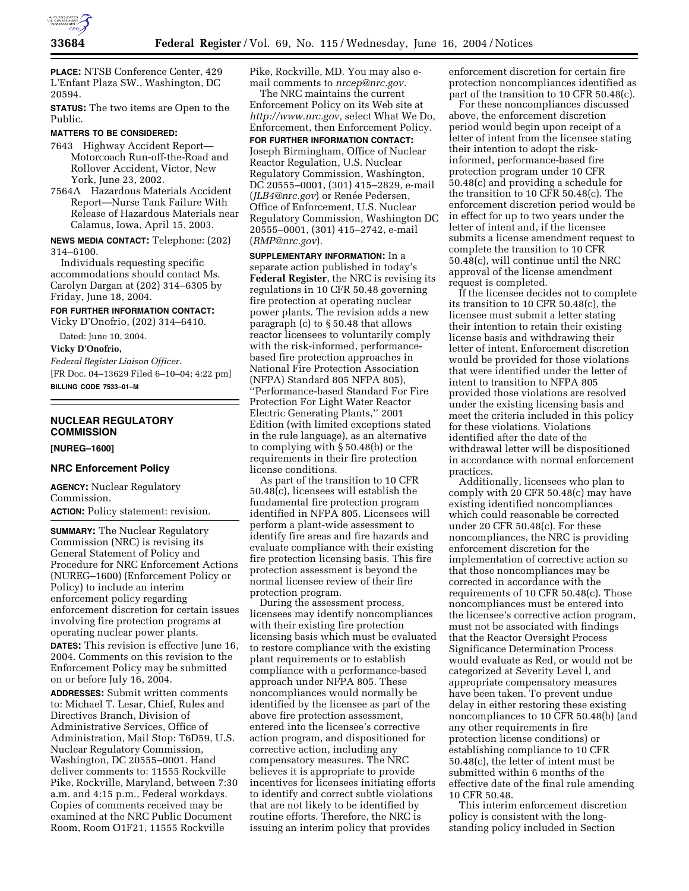

**PLACE:** NTSB Conference Center, 429 L'Enfant Plaza SW., Washington, DC 20594.

**STATUS:** The two items are Open to the Public.

## **MATTERS TO BE CONSIDERED:**

7643 Highway Accident Report— Motorcoach Run-off-the-Road and Rollover Accident, Victor, New York, June 23, 2002.

7564A Hazardous Materials Accident Report—Nurse Tank Failure With Release of Hazardous Materials near Calamus, Iowa, April 15, 2003.

**NEWS MEDIA CONTACT:** Telephone: (202) 314–6100.

Individuals requesting specific accommodations should contact Ms. Carolyn Dargan at (202) 314–6305 by Friday, June 18, 2004.

# **FOR FURTHER INFORMATION CONTACT:**

Vicky D'Onofrio, (202) 314–6410.

Dated: June 10, 2004.

**Vicky D'Onofrio,** 

*Federal Register Liaison Officer.* [FR Doc. 04–13629 Filed 6–10–04; 4:22 pm] **BILLING CODE 7533–01–M**

# **NUCLEAR REGULATORY COMMISSION**

# **[NUREG–1600]**

# **NRC Enforcement Policy**

**AGENCY:** Nuclear Regulatory Commission. **ACTION:** Policy statement: revision.

**SUMMARY:** The Nuclear Regulatory Commission (NRC) is revising its General Statement of Policy and Procedure for NRC Enforcement Actions (NUREG–1600) (Enforcement Policy or Policy) to include an interim enforcement policy regarding enforcement discretion for certain issues involving fire protection programs at operating nuclear power plants.

**DATES:** This revision is effective June 16, 2004. Comments on this revision to the Enforcement Policy may be submitted on or before July 16, 2004.

**ADDRESSES:** Submit written comments to: Michael T. Lesar, Chief, Rules and Directives Branch, Division of Administrative Services, Office of Administration, Mail Stop: T6D59, U.S. Nuclear Regulatory Commission, Washington, DC 20555–0001. Hand deliver comments to: 11555 Rockville Pike, Rockville, Maryland, between 7:30 a.m. and 4:15 p.m., Federal workdays. Copies of comments received may be examined at the NRC Public Document Room, Room O1F21, 11555 Rockville

Pike, Rockville, MD. You may also email comments to *nrcep@nrc.gov.*

The NRC maintains the current Enforcement Policy on its Web site at *http://www.nrc.gov,* select What We Do, Enforcement, then Enforcement Policy.

**FOR FURTHER INFORMATION CONTACT:** Joseph Birmingham, Office of Nuclear Reactor Regulation, U.S. Nuclear Regulatory Commission, Washington, DC 20555–0001, (301) 415–2829, e-mail (*JLB4@nrc.gov*) or Renée Pedersen, Office of Enforcement, U.S. Nuclear Regulatory Commission, Washington DC 20555–0001, (301) 415–2742, e-mail (*RMP@nrc.gov*).

**SUPPLEMENTARY INFORMATION:** In a separate action published in today's **Federal Register**, the NRC is revising its regulations in 10 CFR 50.48 governing fire protection at operating nuclear power plants. The revision adds a new paragraph (c) to § 50.48 that allows reactor licensees to voluntarily comply with the risk-informed, performancebased fire protection approaches in National Fire Protection Association (NFPA) Standard 805 NFPA 805), ''Performance-based Standard For Fire Protection For Light Water Reactor Electric Generating Plants,'' 2001 Edition (with limited exceptions stated in the rule language), as an alternative to complying with § 50.48(b) or the requirements in their fire protection license conditions.

As part of the transition to 10 CFR  $50.48(c)$ , licensees will establish the fundamental fire protection program identified in NFPA 805. Licensees will perform a plant-wide assessment to identify fire areas and fire hazards and evaluate compliance with their existing fire protection licensing basis. This fire protection assessment is beyond the normal licensee review of their fire protection program.

During the assessment process, licensees may identify noncompliances with their existing fire protection licensing basis which must be evaluated to restore compliance with the existing plant requirements or to establish compliance with a performance-based approach under NFPA 805. These noncompliances would normally be identified by the licensee as part of the above fire protection assessment, entered into the licensee's corrective action program, and dispositioned for corrective action, including any compensatory measures. The NRC believes it is appropriate to provide incentives for licensees initiating efforts to identify and correct subtle violations that are not likely to be identified by routine efforts. Therefore, the NRC is issuing an interim policy that provides

enforcement discretion for certain fire protection noncompliances identified as part of the transition to 10 CFR 50.48(c).

For these noncompliances discussed above, the enforcement discretion period would begin upon receipt of a letter of intent from the licensee stating their intention to adopt the riskinformed, performance-based fire protection program under 10 CFR 50.48(c) and providing a schedule for the transition to 10 CFR 50.48(c). The enforcement discretion period would be in effect for up to two years under the letter of intent and, if the licensee submits a license amendment request to complete the transition to 10 CFR 50.48(c), will continue until the NRC approval of the license amendment request is completed.

If the licensee decides not to complete its transition to 10 CFR 50.48(c), the licensee must submit a letter stating their intention to retain their existing license basis and withdrawing their letter of intent. Enforcement discretion would be provided for those violations that were identified under the letter of intent to transition to NFPA 805 provided those violations are resolved under the existing licensing basis and meet the criteria included in this policy for these violations. Violations identified after the date of the withdrawal letter will be dispositioned in accordance with normal enforcement practices.

Additionally, licensees who plan to comply with 20 CFR 50.48(c) may have existing identified noncompliances which could reasonable be corrected under 20 CFR 50.48(c). For these noncompliances, the NRC is providing enforcement discretion for the implementation of corrective action so that those noncompliances may be corrected in accordance with the requirements of 10 CFR 50.48(c). Those noncompliances must be entered into the licensee's corrective action program, must not be associated with findings that the Reactor Oversight Process Significance Determination Process would evaluate as Red, or would not be categorized at Severity Level l, and appropriate compensatory measures have been taken. To prevent undue delay in either restoring these existing noncompliances to 10 CFR 50.48(b) (and any other requirements in fire protection license conditions) or establishing compliance to 10 CFR 50.48(c), the letter of intent must be submitted within 6 months of the effective date of the final rule amending 10 CFR 50.48.

This interim enforcement discretion policy is consistent with the longstanding policy included in Section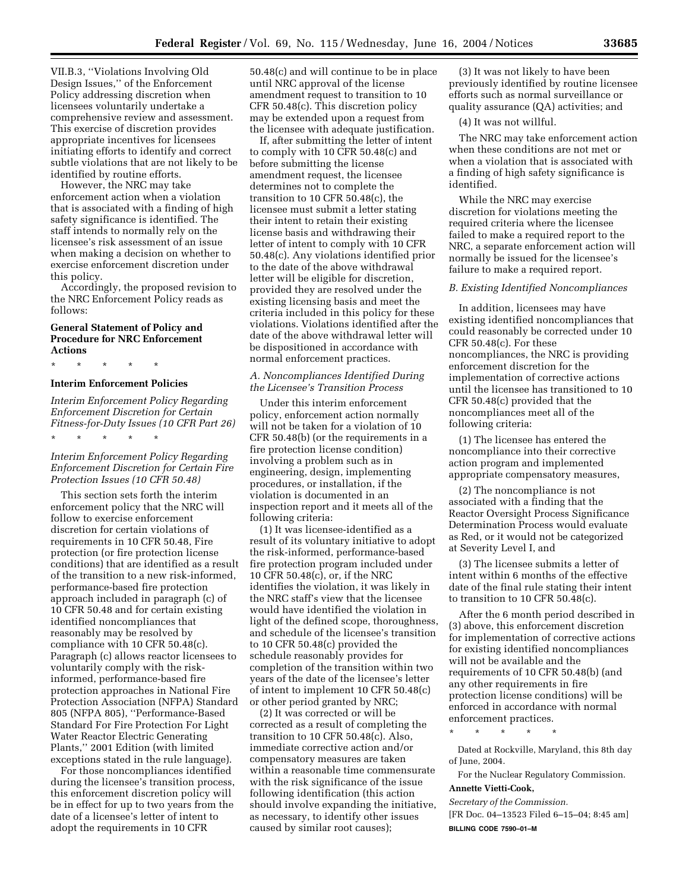VII.B.3, ''Violations Involving Old Design Issues,'' of the Enforcement Policy addressing discretion when licensees voluntarily undertake a comprehensive review and assessment. This exercise of discretion provides appropriate incentives for licensees initiating efforts to identify and correct subtle violations that are not likely to be identified by routine efforts.

However, the NRC may take enforcement action when a violation that is associated with a finding of high safety significance is identified. The staff intends to normally rely on the licensee's risk assessment of an issue when making a decision on whether to exercise enforcement discretion under this policy.

Accordingly, the proposed revision to the NRC Enforcement Policy reads as follows:

# **General Statement of Policy and Procedure for NRC Enforcement Actions**

\* \* \* \* \*

\* \* \* \* \*

# **Interim Enforcement Policies**

*Interim Enforcement Policy Regarding Enforcement Discretion for Certain Fitness-for-Duty Issues (10 CFR Part 26)*

# *Interim Enforcement Policy Regarding Enforcement Discretion for Certain Fire Protection Issues (10 CFR 50.48)*

This section sets forth the interim enforcement policy that the NRC will follow to exercise enforcement discretion for certain violations of requirements in 10 CFR 50.48, Fire protection (or fire protection license conditions) that are identified as a result of the transition to a new risk-informed, performance-based fire protection approach included in paragraph (c) of 10 CFR 50.48 and for certain existing identified noncompliances that reasonably may be resolved by compliance with 10 CFR 50.48(c). Paragraph (c) allows reactor licensees to voluntarily comply with the riskinformed, performance-based fire protection approaches in National Fire Protection Association (NFPA) Standard 805 (NFPA 805), ''Performance-Based Standard For Fire Protection For Light Water Reactor Electric Generating Plants,'' 2001 Edition (with limited exceptions stated in the rule language).

For those noncompliances identified during the licensee's transition process, this enforcement discretion policy will be in effect for up to two years from the date of a licensee's letter of intent to adopt the requirements in 10 CFR

50.48(c) and will continue to be in place until NRC approval of the license amendment request to transition to 10 CFR 50.48(c). This discretion policy may be extended upon a request from the licensee with adequate justification.

If, after submitting the letter of intent to comply with 10 CFR 50.48(c) and before submitting the license amendment request, the licensee determines not to complete the transition to 10 CFR 50.48(c), the licensee must submit a letter stating their intent to retain their existing license basis and withdrawing their letter of intent to comply with 10 CFR 50.48(c). Any violations identified prior to the date of the above withdrawal letter will be eligible for discretion, provided they are resolved under the existing licensing basis and meet the criteria included in this policy for these violations. Violations identified after the date of the above withdrawal letter will be dispositioned in accordance with normal enforcement practices.

# *A. Noncompliances Identified During the Licensee's Transition Process*

Under this interim enforcement policy, enforcement action normally will not be taken for a violation of 10 CFR 50.48(b) (or the requirements in a fire protection license condition) involving a problem such as in engineering, design, implementing procedures, or installation, if the violation is documented in an inspection report and it meets all of the following criteria:

(1) It was licensee-identified as a result of its voluntary initiative to adopt the risk-informed, performance-based fire protection program included under 10 CFR 50.48(c), or, if the NRC identifies the violation, it was likely in the NRC staff's view that the licensee would have identified the violation in light of the defined scope, thoroughness, and schedule of the licensee's transition to 10 CFR 50.48(c) provided the schedule reasonably provides for completion of the transition within two years of the date of the licensee's letter of intent to implement 10 CFR 50.48(c) or other period granted by NRC;

(2) It was corrected or will be corrected as a result of completing the transition to 10 CFR 50.48(c). Also, immediate corrective action and/or compensatory measures are taken within a reasonable time commensurate with the risk significance of the issue following identification (this action should involve expanding the initiative, as necessary, to identify other issues caused by similar root causes);

(3) It was not likely to have been previously identified by routine licensee efforts such as normal surveillance or quality assurance (QA) activities; and

(4) It was not willful.

The NRC may take enforcement action when these conditions are not met or when a violation that is associated with a finding of high safety significance is identified.

While the NRC may exercise discretion for violations meeting the required criteria where the licensee failed to make a required report to the NRC, a separate enforcement action will normally be issued for the licensee's failure to make a required report.

## *B. Existing Identified Noncompliances*

In addition, licensees may have existing identified noncompliances that could reasonably be corrected under 10 CFR 50.48(c). For these noncompliances, the NRC is providing enforcement discretion for the implementation of corrective actions until the licensee has transitioned to 10 CFR 50.48(c) provided that the noncompliances meet all of the following criteria:

(1) The licensee has entered the noncompliance into their corrective action program and implemented appropriate compensatory measures,

(2) The noncompliance is not associated with a finding that the Reactor Oversight Process Significance Determination Process would evaluate as Red, or it would not be categorized at Severity Level I, and

(3) The licensee submits a letter of intent within 6 months of the effective date of the final rule stating their intent to transition to 10 CFR 50.48(c).

After the 6 month period described in (3) above, this enforcement discretion for implementation of corrective actions for existing identified noncompliances will not be available and the requirements of 10 CFR 50.48(b) (and any other requirements in fire protection license conditions) will be enforced in accordance with normal enforcement practices.

\* \* \* \* \*

Dated at Rockville, Maryland, this 8th day of June, 2004.

For the Nuclear Regulatory Commission. **Annette Vietti-Cook,** 

*Secretary of the Commission.* [FR Doc. 04–13523 Filed 6–15–04; 8:45 am] **BILLING CODE 7590–01–M**